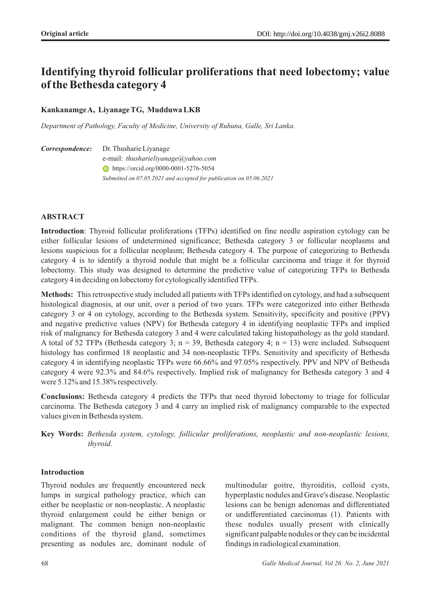# **Identifying thyroid follicular proliferations that need lobectomy; value of the Bethesda category 4**

# **Kankanamge A, Liyanage TG, Mudduwa LKB**

*Department of Pathology, Faculty of Medicine, University of Ruhuna, Galle, Sri Lanka.* 

Dr. Thusharie Liyanage **ID** https://orcid.org/0000-0001-5276-5054  $Correspondence:$ e-mail: *thusharieliyanage@yahoo.com Submitted on 07.05.2021 and accepted for publication on 05.06.2021* 

## **ABSTRACT**

**Introduction**: Thyroid follicular proliferations (TFPs) identified on fine needle aspiration cytology can be either follicular lesions of undetermined significance; Bethesda category 3 or follicular neoplasms and lesions suspicious for a follicular neoplasm; Bethesda category 4. The purpose of categorizing to Bethesda category 4 is to identify a thyroid nodule that might be a follicular carcinoma and triage it for thyroid lobectomy. This study was designed to determine the predictive value of categorizing TFPs to Bethesda category 4 in deciding on lobectomy for cytologically identified TFPs.

**Methods:** This retrospective study included all patients with TFPs identified on cytology, and had a subsequent histological diagnosis, at our unit, over a period of two years. TFPs were categorized into either Bethesda category 3 or 4 on cytology, according to the Bethesda system. Sensitivity, specificity and positive (PPV**)** and negative predictive values (NPV) for Bethesda category 4 in identifying neoplastic TFPs and implied risk of malignancy for Bethesda category 3 and 4 were calculated taking histopathology as the gold standard. A total of 52 TFPs (Bethesda category 3;  $n = 39$ , Bethesda category 4;  $n = 13$ ) were included. Subsequent histology has confirmed 18 neoplastic and 34 non-neoplastic TFPs. Sensitivity and specificity of Bethesda category 4 in identifying neoplastic TFPs were 66.66% and 97.05% respectively. PPV and NPV of Bethesda category 4 were 92.3% and 84.6% respectively. Implied risk of malignancy for Bethesda category 3 and 4 were 5.12% and 15.38% respectively.

**Conclusions:** Bethesda category 4 predicts the TFPs that need thyroid lobectomy to triage for follicular carcinoma. The Bethesda category 3 and 4 carry an implied risk of malignancy comparable to the expected values given in Bethesda system.

## **Introduction**

Thyroid nodules are frequently encountered neck lumps in surgical pathology practice, which can either be neoplastic or non-neoplastic. A neoplastic thyroid enlargement could be either benign or malignant. The common benign non-neoplastic conditions of the thyroid gland, sometimes presenting as nodules are, dominant nodule of multinodular goitre, thyroiditis, colloid cysts, hyperplastic nodules and Grave's disease. Neoplastic lesions can be benign adenomas and differentiated or undifferentiated carcinomas (1). Patients with these nodules usually present with clinically significant palpable nodules or they can be incidental findings in radiological examination.

**Key Words:** *Bethesda system, cytology, follicular proliferations, neoplastic and non-neoplastic lesions, thyroid.*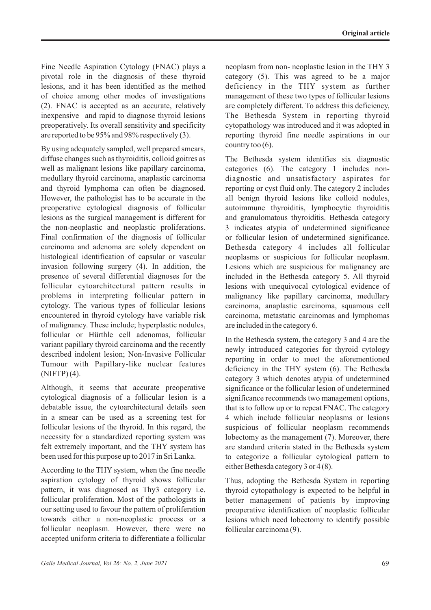Fine Needle Aspiration Cytology (FNAC) plays a pivotal role in the diagnosis of these thyroid lesions, and it has been identified as the method of choice among other modes of investigations (2). FNAC is accepted as an accurate, relatively inexpensive and rapid to diagnose thyroid lesions preoperatively. Its overall sensitivity and specificity are reported to be 95% and 98% respectively (3).

By using adequately sampled, well prepared smears, diffuse changes such as thyroiditis, colloid goitres as well as malignant lesions like papillary carcinoma, medullary thyroid carcinoma, anaplastic carcinoma and thyroid lymphoma can often be diagnosed. However, the pathologist has to be accurate in the preoperative cytological diagnosis of follicular lesions as the surgical management is different for the non-neoplastic and neoplastic proliferations. Final confirmation of the diagnosis of follicular carcinoma and adenoma are solely dependent on histological identification of capsular or vascular invasion following surgery (4). In addition, the presence of several differential diagnoses for the follicular cytoarchitectural pattern results in problems in interpreting follicular pattern in cytology. The various types of follicular lesions encountered in thyroid cytology have variable risk of malignancy. These include; hyperplastic nodules, follicular or Hürthle cell adenomas, follicular variant papillary thyroid carcinoma and the recently described indolent lesion; Non-Invasive Follicular Tumour with Papillary-like nuclear features (NIFTP) (4).

Although, it seems that accurate preoperative cytological diagnosis of a follicular lesion is a debatable issue, the cytoarchitectural details seen in a smear can be used as a screening test for follicular lesions of the thyroid. In this regard, the necessity for a standardized reporting system was felt extremely important, and the THY system has been used for this purpose up to 2017 in Sri Lanka.

According to the THY system, when the fine needle aspiration cytology of thyroid shows follicular pattern, it was diagnosed as Thy3 category i.e. follicular proliferation. Most of the pathologists in our setting used to favour the pattern of proliferation towards either a non-neoplastic process or a follicular neoplasm. However, there were no accepted uniform criteria to differentiate a follicular neoplasm from non- neoplastic lesion in the THY 3 category (5). This was agreed to be a major deficiency in the THY system as further management of these two types of follicular lesions are completely different. To address this deficiency, The Bethesda System in reporting thyroid cytopathology was introduced and it was adopted in reporting thyroid fine needle aspirations in our country too  $(6)$ .

The Bethesda system identifies six diagnostic categories (6). The category 1 includes nondiagnostic and unsatisfactory aspirates for reporting or cyst fluid only. The category 2 includes all benign thyroid lesions like colloid nodules, autoimmune thyroiditis, lymphocytic thyroiditis and granulomatous thyroiditis. Bethesda category 3 indicates atypia of undetermined significance or follicular lesion of undetermined significance. Bethesda category 4 includes all follicular neoplasms or suspicious for follicular neoplasm. Lesions which are suspicious for malignancy are included in the Bethesda category 5. All thyroid lesions with unequivocal cytological evidence of malignancy like papillary carcinoma, medullary carcinoma, anaplastic carcinoma, squamous cell carcinoma, metastatic carcinomas and lymphomas are included in the category 6.

In the Bethesda system, the category 3 and 4 are the newly introduced categories for thyroid cytology reporting in order to meet the aforementioned deficiency in the THY system (6). The Bethesda category 3 which denotes atypia of undetermined significance or the follicular lesion of undetermined significance recommends two management options, that is to follow up or to repeat FNAC. The category 4 which include follicular neoplasms or lesions suspicious of follicular neoplasm recommends lobectomy as the management (7). Moreover, there are standard criteria stated in the Bethesda system to categorize a follicular cytological pattern to either Bethesda category 3 or 4 (8).

Thus, adopting the Bethesda System in reporting thyroid cytopathology is expected to be helpful in better management of patients by improving preoperative identification of neoplastic follicular lesions which need lobectomy to identify possible follicular carcinoma (9).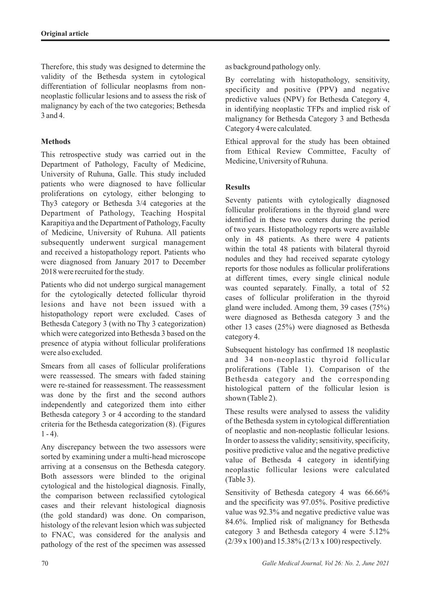Therefore, this study was designed to determine the validity of the Bethesda system in cytological differentiation of follicular neoplasms from nonneoplastic follicular lesions and to assess the risk of malignancy by each of the two categories; Bethesda 3 and 4.

## **Methods**

This retrospective study was carried out in the Department of Pathology, Faculty of Medicine, University of Ruhuna, Galle. This study included patients who were diagnosed to have follicular proliferations on cytology, either belonging to Thy3 category or Bethesda 3/4 categories at the Department of Pathology, Teaching Hospital Karapitiya and the Department of Pathology, Faculty of Medicine, University of Ruhuna. All patients subsequently underwent surgical management and received a histopathology report. Patients who were diagnosed from January 2017 to December 2018 were recruited for the study.

Patients who did not undergo surgical management for the cytologically detected follicular thyroid lesions and have not been issued with a histopathology report were excluded. Cases of Bethesda Category 3 (with no Thy 3 categorization) which were categorized into Bethesda 3 based on the presence of atypia without follicular proliferations were also excluded.

Smears from all cases of follicular proliferations were reassessed. The smears with faded staining were re-stained for reassessment. The reassessment was done by the first and the second authors independently and categorized them into either Bethesda category 3 or 4 according to the standard criteria for the Bethesda categorization (8). (Figures  $1 - 4$ ).

Any discrepancy between the two assessors were sorted by examining under a multi-head microscope arriving at a consensus on the Bethesda category. Both assessors were blinded to the original cytological and the histological diagnosis. Finally, the comparison between reclassified cytological cases and their relevant histological diagnosis (the gold standard) was done. On comparison, histology of the relevant lesion which was subjected to FNAC, was considered for the analysis and pathology of the rest of the specimen was assessed as background pathology only.

By correlating with histopathology, sensitivity, specificity and positive (PPV**)** and negative predictive values (NPV) for Bethesda Category 4, in identifying neoplastic TFPs and implied risk of malignancy for Bethesda Category 3 and Bethesda Category 4 were calculated.

Ethical approval for the study has been obtained from Ethical Review Committee, Faculty of Medicine, University of Ruhuna.

## **Results**

Seventy patients with cytologically diagnosed follicular proliferations in the thyroid gland were identified in these two centers during the period of two years. Histopathology reports were available only in 48 patients. As there were 4 patients within the total 48 patients with bilateral thyroid nodules and they had received separate cytology reports for those nodules as follicular proliferations at different times, every single clinical nodule was counted separately. Finally, a total of 52 cases of follicular proliferation in the thyroid gland were included. Among them, 39 cases (75%) were diagnosed as Bethesda category 3 and the other 13 cases (25%) were diagnosed as Bethesda category 4.

Subsequent histology has confirmed 18 neoplastic and 34 non-neoplastic thyroid follicular proliferations (Table 1). Comparison of the Bethesda category and the corresponding histological pattern of the follicular lesion is shown (Table 2).

These results were analysed to assess the validity of the Bethesda system in cytological differentiation of neoplastic and non-neoplastic follicular lesions. In order to assess the validity; sensitivity, specificity, positive predictive value and the negative predictive value of Bethesda 4 category in identifying neoplastic follicular lesions were calculated (Table 3).

Sensitivity of Bethesda category 4 was 66.66% and the specificity was 97.05%. Positive predictive value was 92.3% and negative predictive value was 84.6%. Implied risk of malignancy for Bethesda category 3 and Bethesda category 4 were 5.12% (2/39 x 100) and 15.38% (2/13 x 100) respectively.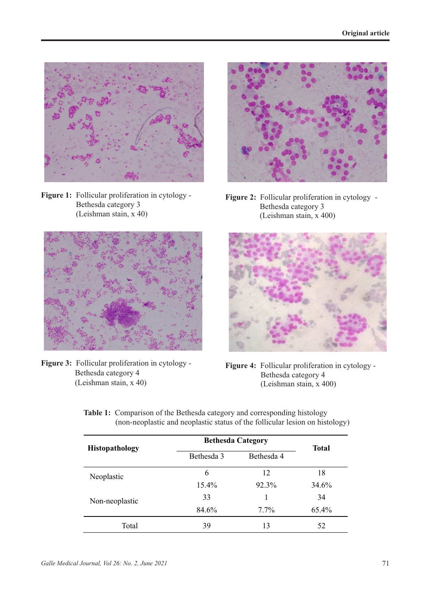

**Figure 1:** Follicular proliferation in cytology - Bethesda category 3 (Leishman stain, x 40)



**Figure 3:** Follicular proliferation in cytology - Bethesda category 4 (Leishman stain, x 40)



**Figure 2:** Follicular proliferation in cytology - Bethesda category 3 (Leishman stain, x 400)



**Figure 4:** Follicular proliferation in cytology - Bethesda category 4 (Leishman stain, x 400)

| <b>Histopathology</b> | <b>Bethesda Category</b> |            | <b>Total</b> |
|-----------------------|--------------------------|------------|--------------|
|                       | Bethesda 3               | Bethesda 4 |              |
| Neoplastic            | 6                        | 12         | 18           |
|                       | $15.4\%$                 | 92.3%      | 34.6%        |
| Non-neoplastic        | 33                       |            | 34           |
|                       | 84.6%                    | $7.7\%$    | 65.4%        |
| Total                 | 39                       | 13         | 52           |

**Table 1:** Comparison of the Bethesda category and corresponding histology (non-neoplastic and neoplastic status of the follicular lesion on histology)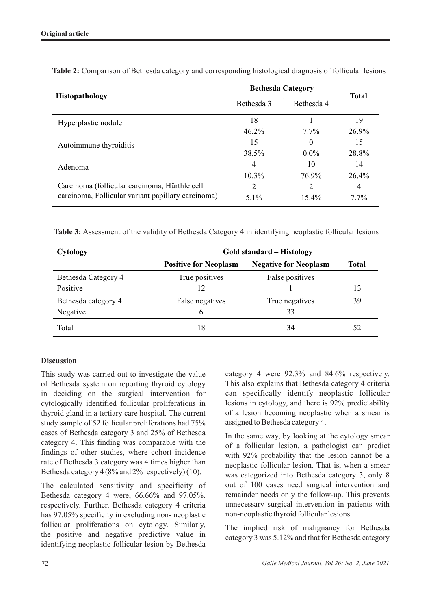| <b>Histopathology</b>                              | <b>Bethesda Category</b> |            | <b>Total</b> |
|----------------------------------------------------|--------------------------|------------|--------------|
|                                                    | Bethesda 3               | Bethesda 4 |              |
| Hyperplastic nodule                                | 18                       |            | 19           |
|                                                    | 46.2%                    | $7.7\%$    | 26.9%        |
| Autoimmune thyroiditis                             | 15                       | $\Omega$   | 15           |
|                                                    | 38.5%                    | $0.0\%$    | 28.8%        |
| Adenoma                                            | 4                        | 10         | 14           |
|                                                    | $10.3\%$                 | 76.9%      | 26,4%        |
| Carcinoma (follicular carcinoma, Hürthle cell      | 2                        | 2          | 4            |
| carcinoma, Follicular variant papillary carcinoma) | 5.1%                     | $15.4\%$   | $7.7\%$      |

**Table 2:** Comparison of Bethesda category and corresponding histological diagnosis of follicular lesions

**Table 3:** Assessment of the validity of Bethesda Category 4 in identifying neoplastic follicular lesions

| Cytology            | <b>Gold standard – Histology</b> |                              |              |  |
|---------------------|----------------------------------|------------------------------|--------------|--|
|                     | <b>Positive for Neoplasm</b>     | <b>Negative for Neoplasm</b> | <b>Total</b> |  |
| Bethesda Category 4 | True positives                   | False positives              |              |  |
| Positive            | 12                               |                              | 13           |  |
| Bethesda category 4 | False negatives                  | True negatives               | 39           |  |
| Negative            | 6                                | 33                           |              |  |
| Total               | 18                               | 34                           | 52           |  |

## **Discussion**

This study was carried out to investigate the value of Bethesda system on reporting thyroid cytology in deciding on the surgical intervention for cytologically identified follicular proliferations in thyroid gland in a tertiary care hospital. The current study sample of 52 follicular proliferations had 75% cases of Bethesda category 3 and 25% of Bethesda category 4. This finding was comparable with the findings of other studies, where cohort incidence rate of Bethesda 3 category was 4 times higher than Bethesda category 4 (8% and 2% respectively) (10).

The calculated sensitivity and specificity of Bethesda category 4 were, 66.66% and 97.05%. respectively. Further, Bethesda category 4 criteria has 97.05% specificity in excluding non- neoplastic follicular proliferations on cytology. Similarly, the positive and negative predictive value in identifying neoplastic follicular lesion by Bethesda category 4 were 92.3% and 84.6% respectively. This also explains that Bethesda category 4 criteria can specifically identify neoplastic follicular lesions in cytology, and there is 92% predictability of a lesion becoming neoplastic when a smear is assigned to Bethesda category 4.

In the same way, by looking at the cytology smear of a follicular lesion, a pathologist can predict with 92% probability that the lesion cannot be a neoplastic follicular lesion. That is, when a smear was categorized into Bethesda category 3, only 8 out of 100 cases need surgical intervention and remainder needs only the follow-up. This prevents unnecessary surgical intervention in patients with non-neoplastic thyroid follicular lesions.

The implied risk of malignancy for Bethesda category 3 was 5.12% and that for Bethesda category